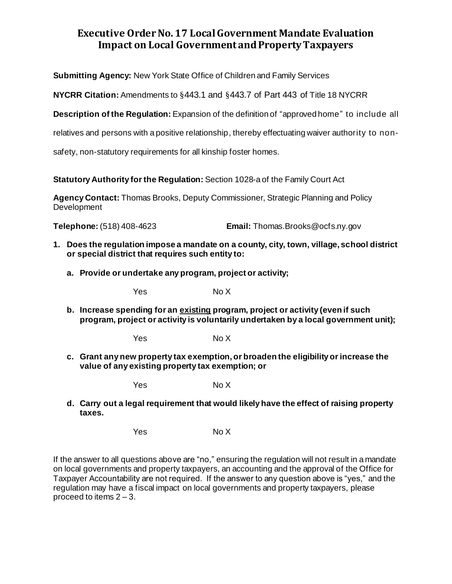## **Executive Order No. 17 Local Government Mandate Evaluation Impact on Local Government and Property Taxpayers**

**Submitting Agency:** New York State Office of Children and Family Services

**NYCRR Citation:** Amendments to §443.1 and §443.7 of Part 443 of Title 18 NYCRR

**Description of the Regulation:** Expansion of the definition of "approved home" to include all

relatives and persons with a positive relationship, thereby effectuating waiver authority to non-

safety, non-statutory requirements for all kinship foster homes.

**Statutory Authority for the Regulation:** Section 1028-a of the Family Court Act

**Agency Contact:** Thomas Brooks, Deputy Commissioner, Strategic Planning and Policy Development

**Telephone:** (518) 408-4623 **Email:** Thomas.Brooks@ocfs.ny.gov

- **1. Does the regulation impose a mandate on a county, city, town, village, school district or special district that requires such entity to:**
	- **a. Provide or undertake any program, project or activity;**

Yes No X

**b. Increase spending for an existing program, project or activity (even if such program, project or activity is voluntarily undertaken by a local government unit);**

Yes No X

**c. Grant any new property tax exemption, or broaden the eligibility or increase the value of any existing property tax exemption; or**

Yes No X

**d. Carry out a legal requirement that would likely have the effect of raising property taxes.**

Yes No X

If the answer to all questions above are "no," ensuring the regulation will not result in a mandate on local governments and property taxpayers, an accounting and the approval of the Office for Taxpayer Accountability are not required. If the answer to any question above is "yes," and the regulation may have a fiscal impact on local governments and property taxpayers, please proceed to items  $2 - 3$ .